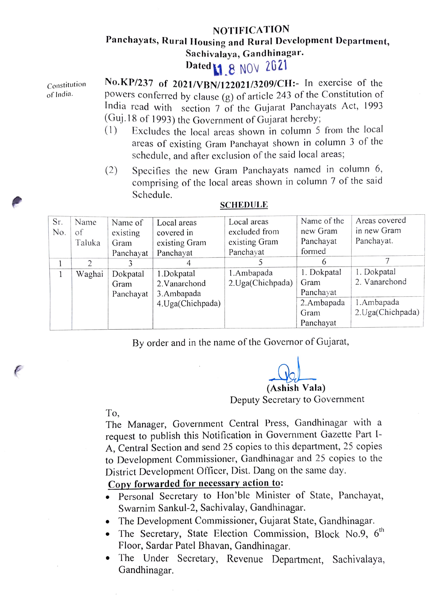## NOTIFICATION Panchayats, Rural Housing and Rural Development Department, Sachivalaya, Gandhinagar.

Dated 1, 8 NOV 2021

Constitution of India.

No.KP/237 of 2021/VBN/122021/3209/CH:- In exercise of the powers conferred by clause (g) of article 243 of the Constitution of India read with section 7 of the Gujarat Panchayats Act, 1993<br>(Guj.18 of 1993) the Government of Gujarat hereby;

- (Guj.18 of 1993) the Government of Gujarat hereby (1) Excludes the local areas shown in column 5 from the local areas of existing Gram Panchayat shown in column 3 of the schedule, and after exclusion of the said local areas;
- (2) Specifies the new Gram Panchayats named in column 6, comprising of the local areas shown in column 7 of the said Schedule.

| Sr. | Name   | Name of   | Local areas       | Local areas       | Name of the | Areas covered     |
|-----|--------|-----------|-------------------|-------------------|-------------|-------------------|
| No. | of     | existing  | covered in        | excluded from     | new Gram    | in new Gram       |
|     | Taluka | Gram      | existing Gram     | existing Gram     | Panchayat   | Panchayat.        |
|     |        | Panchayat | Panchayat         | Panchayat         | formed      |                   |
|     | C.     |           |                   |                   |             |                   |
|     | Waghai | Dokpatal  | 1.Dokpatal        | 1.Ambapada        | 1. Dokpatal | 1. Dokpatal       |
|     |        | Gram      | 2. Vanarchond     | 2. Uga(Chichpada) | Gram        | 2. Vanarchond     |
|     |        | Panchayat | 3.Ambapada        |                   | Panchayat   |                   |
|     |        |           | 4. Uga(Chichpada) |                   | 2.Ambapada  | 1.Ambapada        |
|     |        |           |                   |                   | Gram        | 2. Uga(Chichpada) |
|     |        |           |                   |                   | Panchayat   |                   |

## SCHEDULE

By order and in the name of the Governor of Gujarat,

(Ashish Vala)

Deputy Secretary to Government

To,

The Manager, Government Central Press, Gandhinagar with a request to publish this Notification in Government Gazette Part I-A, Central Section and send 25 copies to this department, 25 copies to Development Commissioner, Gandhinagar and 25 copies to the District Development Officer, Dist. Dang on the same day.

## Copy forwarded for necessaryaction to:

- .Personal Secretary to Hon'ble Minister of State, Panchayat, Swarnim Sankul-2, Sachivalay, Gandhinagar.
- .The Development Commissioner,Gujarat State, Gandhinagar.
- The Secretary, State Election Commission, Block No.9,  $6<sup>th</sup>$ Floor, Sardar Patel Bhavan, Gandhinagar.
- The Under Secretary, Revenue Department, Sachivalaya, Gandhinagar.